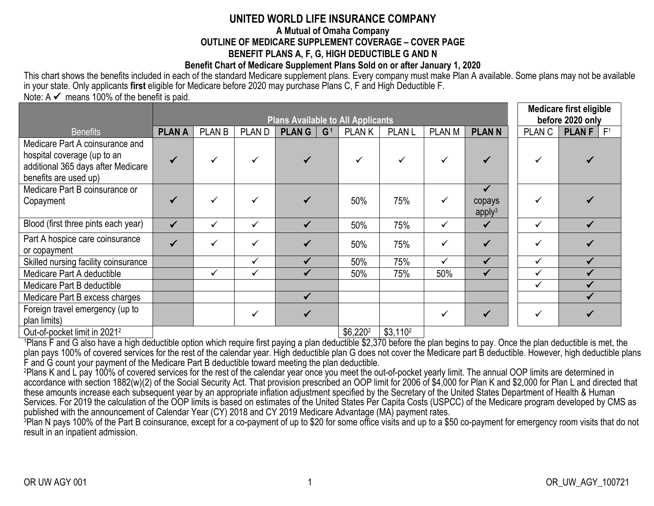# **UNITED WORLD LIFE INSURANCE COMPANY**

#### **A Mutual of Omaha Company OUTLINE OF MEDICARE SUPPLEMENT COVERAGE – COVER PAGE BENEFIT PLANS A, F, G, HIGH DEDUCTIBLE G AND N**

### **Benefit Chart of Medicare Supplement Plans Sold on or after January 1, 2020**

This chart shows the benefits included in each of the standard Medicare supplement plans. Every company must make Plan A available. Some plans may not be available in your state. Only applicants **first** eligible for Medicare before 2020 may purchase Plans C, F and High Deductible F.

Note:  $A \nless m$  means 100% of the benefit is paid.

| <b>Plans Available to All Applicants</b> |               |   |              |                |              |                   |               | <b>Medicare first eligible</b><br>before 2020 only                  |               |        |                |
|------------------------------------------|---------------|---|--------------|----------------|--------------|-------------------|---------------|---------------------------------------------------------------------|---------------|--------|----------------|
| <b>PLAN A</b>                            | <b>PLAN B</b> |   | <b>PLANG</b> | G <sup>1</sup> | <b>PLANK</b> | <b>PLAN L</b>     | <b>PLAN M</b> | <b>PLANN</b>                                                        | <b>PLAN C</b> | PLAN F | F <sup>1</sup> |
|                                          |               | ✓ |              |                |              | ✓                 |               |                                                                     |               |        |                |
|                                          |               |   |              |                |              |                   |               | $\checkmark$                                                        |               |        |                |
|                                          |               |   |              |                | 50%          | 75%               | ✓             | copays<br>apply <sup>3</sup>                                        |               |        |                |
| $\checkmark$                             |               | ✓ | ✔            |                | 50%          | 75%               | ✓             |                                                                     | ✓             |        |                |
|                                          |               | ✓ |              |                | 50%          | 75%               |               |                                                                     | ✓             |        |                |
|                                          |               | ✓ |              |                | 50%          | 75%               | ✓             | $\checkmark$                                                        | ✓             |        |                |
|                                          | ✓             | ✓ |              |                | 50%          | 75%               | 50%           | ✔                                                                   | $\checkmark$  |        |                |
|                                          |               |   |              |                |              |                   |               |                                                                     | ✓             |        |                |
|                                          |               |   |              |                |              |                   |               |                                                                     |               |        |                |
|                                          |               | ✓ |              |                |              |                   |               |                                                                     | ✓             |        |                |
|                                          |               |   | <b>PLAND</b> |                |              | $A \cap A \cap A$ |               | $\mathbf{A} \mathbf{A} \mathbf{A} \mathbf{A} \mathbf{A} \mathbf{A}$ |               |        |                |

| Out-of-pocket limit in 2021 $^2$  |  $\,$  |  $\,$  |  $\,$  |  $\,$  |  $\,$  |  $\,$  |  $\,$  |  $\,$  |  $\,$  |  $\,$  |  $\,$  |  $\,$  |  $\,$  |  $\,$  |  $\,$  |  $\,$  |  $\,$  |  $\,$  |  $\,$  |  $\,$  |  $\,$  |  $\,$  |  $\,$  |  $\,$  |  $\,$  |  $\,$  |  $\,$ 

<sup>1</sup>Plans F and G also have a high deductible option which require first paying a plan deductible \$2,370 before the plan begins to pay. Once the plan deductible is met, the plan pays 100% of covered services for the rest of the calendar year. High deductible plan G does not cover the Medicare part B deductible. However, high deductible plans F and G count your payment of the Medicare Part B deductible toward meeting the plan deductible.

<sup>2</sup>Plans K and L pay 100% of covered services for the rest of the calendar year once you meet the out-of-pocket yearly limit. The annual OOP limits are determined in accordance with section 1882(w)(2) of the Social Security Act. That provision prescribed an OOP limit for 2006 of \$4,000 for Plan K and \$2,000 for Plan L and directed that these amounts increase each subsequent year by an appropriate inflation adjustment specified by the Secretary of the United States Department of Health & Human Services. For 2019 the calculation of the OOP limits is based on estimates of the United States Per Capita Costs (USPCC) of the Medicare program developed by CMS as published with the announcement of Calendar Year (CY) 2018 and CY 2019 Medicare Advantage (MA) payment rates.

<sup>3</sup>Plan N pays 100% of the Part B coinsurance, except for a co-payment of up to \$20 for some office visits and up to a \$50 co-payment for emergency room visits that do not result in an inpatient admission.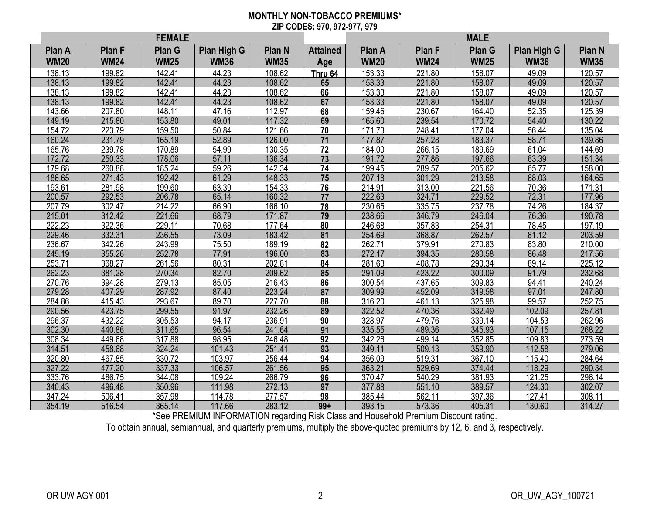#### **MONTHLY NON-TOBACCO PREMIUMS\* ZIP CODES: 970, 972-977, 979**

|             |             | <b>FEMALE</b> |             |               |                 | <b>MALE</b> |               |               |             |             |
|-------------|-------------|---------------|-------------|---------------|-----------------|-------------|---------------|---------------|-------------|-------------|
| Plan A      | Plan F      | Plan G        | Plan High G | <b>Plan N</b> | <b>Attained</b> | Plan A      | <b>Plan F</b> | <b>Plan G</b> | Plan High G | Plan N      |
| <b>WM20</b> | <b>WM24</b> | <b>WM25</b>   | <b>WM36</b> | <b>WM35</b>   | Age             | <b>WM20</b> | <b>WM24</b>   | <b>WM25</b>   | <b>WM36</b> | <b>WM35</b> |
| 138.13      | 199.82      | 142.41        | 44.23       | 108.62        | Thru 64         | 153.33      | 221.80        | 158.07        | 49.09       | 120.57      |
| 138.13      | 199.82      | 142.41        | 44.23       | 108.62        | 65              | 153.33      | 221.80        | 158.07        | 49.09       | 120.57      |
| 138.13      | 199.82      | 142.41        | 44.23       | 108.62        | 66              | 153.33      | 221.80        | 158.07        | 49.09       | 120.57      |
| 138.13      | 199.82      | 142.41        | 44.23       | 108.62        | 67              | 153.33      | 221.80        | 158.07        | 49.09       | 120.57      |
| 143.66      | 207.80      | 148.11        | 47.16       | 112.97        | 68              | 159.46      | 230.67        | 164.40        | 52.35       | 125.39      |
| 149.19      | 215.80      | 153.80        | 49.01       | 117.32        | 69              | 165.60      | 239.54        | 170.72        | 54.40       | 130.22      |
| 154.72      | 223.79      | 159.50        | 50.84       | 121.66        | 70              | 171.73      | 248.41        | 177.04        | 56.44       | 135.04      |
| 160.24      | 231.79      | 165.19        | 52.89       | 126.00        | 71              | 177.87      | 257.28        | 183.37        | 58.71       | 139.86      |
| 165.76      | 239.78      | 170.89        | 54.99       | 130.35        | 72              | 184.00      | 266.15        | 189.69        | 61.04       | 144.69      |
| 172.72      | 250.33      | 178.06        | 57.11       | 136.34        | 73              | 191.72      | 277.86        | 197.66        | 63.39       | 151.34      |
| 179.68      | 260.88      | 185.24        | 59.26       | 142.34        | 74              | 199.45      | 289.57        | 205.62        | 65.77       | 158.00      |
| 186.65      | 271.43      | 192.42        | 61.29       | 148.33        | 75              | 207.18      | 301.29        | 213.58        | 68.03       | 164.65      |
| 193.61      | 281.98      | 199.60        | 63.39       | 154.33        | 76              | 214.91      | 313.00        | 221.56        | 70.36       | 171.31      |
| 200.57      | 292.53      | 206.78        | 65.14       | 160.32        | 77              | 222.63      | 324.71        | 229.52        | 72.31       | 177.96      |
| 207.79      | 302.47      | 214.22        | 66.90       | 166.10        | 78              | 230.65      | 335.75        | 237.78        | 74.26       | 184.37      |
| 215.01      | 312.42      | 221.66        | 68.79       | 171.87        | 79              | 238.66      | 346.79        | 246.04        | 76.36       | 190.78      |
| 222.23      | 322.36      | 229.11        | 70.68       | 177.64        | 80              | 246.68      | 357.83        | 254.31        | 78.45       | 197.19      |
| 229.46      | 332.31      | 236.55        | 73.09       | 183.42        | 81              | 254.69      | 368.87        | 262.57        | 81.12       | 203.59      |
| 236.67      | 342.26      | 243.99        | 75.50       | 189.19        | 82              | 262.71      | 379.91        | 270.83        | 83.80       | 210.00      |
| 245.19      | 355.26      | 252.78        | 77.91       | 196.00        | 83              | 272.17      | 394.35        | 280.58        | 86.48       | 217.56      |
| 253.71      | 368.27      | 261.56        | 80.31       | 202.81        | 84              | 281.63      | 408.78        | 290.34        | 89.14       | 225.12      |
| 262.23      | 381.28      | 270.34        | 82.70       | 209.62        | 85              | 291.09      | 423.22        | 300.09        | 91.79       | 232.68      |
| 270.76      | 394.28      | 279.13        | 85.05       | 216.43        | 86              | 300.54      | 437.65        | 309.83        | 94.41       | 240.24      |
| 279.28      | 407.29      | 287.92        | 87.40       | 223.24        | 87              | 309.99      | 452.09        | 319.58        | 97.01       | 247.80      |
| 284.86      | 415.43      | 293.67        | 89.70       | 227.70        | 88              | 316.20      | 461.13        | 325.98        | 99.57       | 252.75      |
| 290.56      | 423.75      | 299.55        | 91.97       | 232.26        | 89              | 322.52      | 470.36        | 332.49        | 102.09      | 257.81      |
| 296.37      | 432.22      | 305.53        | 94.17       | 236.91        | 90              | 328.97      | 479.76        | 339.14        | 104.53      | 262.96      |
| 302.30      | 440.86      | 311.65        | 96.54       | 241.64        | 91              | 335.55      | 489.36        | 345.93        | 107.15      | 268.22      |
| 308.34      | 449.68      | 317.88        | 98.95       | 246.48        | 92              | 342.26      | 499.14        | 352.85        | 109.83      | 273.59      |
| 314.51      | 458.68      | 324.24        | 101.43      | 251.41        | 93              | 349.11      | 509.13        | 359.90        | 112.58      | 279.06      |
| 320.80      | 467.85      | 330.72        | 103.97      | 256.44        | 94              | 356.09      | 519.31        | 367.10        | 115.40      | 284.64      |
| 327.22      | 477.20      | 337.33        | 106.57      | 261.56        | 95              | 363.21      | 529.69        | 374.44        | 118.29      | 290.34      |
| 333.76      | 486.75      | 344.08        | 109.24      | 266.79        | 96              | 370.47      | 540.29        | 381.93        | 121.25      | 296.14      |
| 340.43      | 496.48      | 350.96        | 111.98      | 272.13        | 97              | 377.88      | 551.10        | 389.57        | 124.30      | 302.07      |
| 347.24      | 506.41      | 357.98        | 114.78      | 277.57        | 98              | 385.44      | 562.11        | 397.36        | 127.41      | 308.11      |
| 354.19      | 516.54      | 365.14        | 117.66      | 283.12        | $99+$           | 393.15      | 573.36        | 405.31        | 130.60      | 314.27      |

\*See PREMIUM INFORMATION regarding Risk Class and Household Premium Discount rating.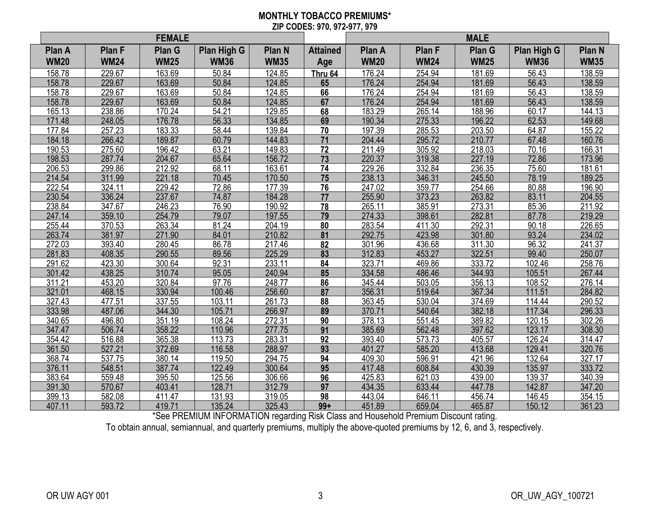#### **MONTHLY TOBACCO PREMIUMS\* ZIP CODES: 970, 972-977, 979**

|             |               | <b>FEMALE</b> |             |               |                 | <b>MALE</b> |               |               |             |               |
|-------------|---------------|---------------|-------------|---------------|-----------------|-------------|---------------|---------------|-------------|---------------|
| Plan A      | <b>Plan F</b> | Plan G        | Plan High G | <b>Plan N</b> | <b>Attained</b> | Plan A      | <b>Plan F</b> | <b>Plan G</b> | Plan High G | <b>Plan N</b> |
| <b>WM20</b> | <b>WM24</b>   | <b>WM25</b>   | <b>WM36</b> | <b>WM35</b>   | Age             | <b>WM20</b> | <b>WM24</b>   | <b>WM25</b>   | <b>WM36</b> | <b>WM35</b>   |
| 158.78      | 229.67        | 163.69        | 50.84       | 124.85        | Thru 64         | 176.24      | 254.94        | 181.69        | 56.43       | 138.59        |
| 158.78      | 229.67        | 163.69        | 50.84       | 124.85        | 65              | 176.24      | 254.94        | 181.69        | 56.43       | 138.59        |
| 158.78      | 229.67        | 163.69        | 50.84       | 124.85        | 66              | 176.24      | 254.94        | 181.69        | 56.43       | 138.59        |
| 158.78      | 229.67        | 163.69        | 50.84       | 124.85        | 67              | 176.24      | 254.94        | 181.69        | 56.43       | 138.59        |
| 165.13      | 238.86        | 170.24        | 54.21       | 129.85        | 68              | 183.29      | 265.14        | 188.96        | 60.17       | 144.13        |
| 171.48      | 248.05        | 176.78        | 56.33       | 134.85        | 69              | 190.34      | 275.33        | 196.22        | 62.53       | 149.68        |
| 177.84      | 257.23        | 183.33        | 58.44       | 139.84        | 70              | 197.39      | 285.53        | 203.50        | 64.87       | 155.22        |
| 184.18      | 266.42        | 189.87        | 60.79       | 144.83        | 71              | 204.44      | 295.72        | 210.77        | 67.48       | 160.76        |
| 190.53      | 275.60        | 196.42        | 63.21       | 149.83        | 72              | 211.49      | 305.92        | 218.03        | 70.16       | 166.31        |
| 198.53      | 287.74        | 204.67        | 65.64       | 156.72        | $\overline{73}$ | 220.37      | 319.38        | 227.19        | 72.86       | 173.96        |
| 206.53      | 299.86        | 212.92        | 68.11       | 163.61        | 74              | 229.26      | 332.84        | 236.35        | 75.60       | 181.61        |
| 214.54      | 311.99        | 221.18        | 70.45       | 170.50        | 75              | 238.13      | 346.31        | 245.50        | 78.19       | 189.25        |
| 222.54      | 324.11        | 229.42        | 72.86       | 177.39        | 76              | 247.02      | 359.77        | 254.66        | 80.88       | 196.90        |
| 230.54      | 336.24        | 237.67        | 74.87       | 184.28        | 77              | 255.90      | 373.23        | 263.82        | 83.11       | 204.55        |
| 238.84      | 347.67        | 246.23        | 76.90       | 190.92        | 78              | 265.11      | 385.91        | 273.31        | 85.36       | 211.92        |
| 247.14      | 359.10        | 254.79        | 79.07       | 197.55        | 79              | 274.33      | 398.61        | 282.81        | 87.78       | 219.29        |
| 255.44      | 370.53        | 263.34        | 81.24       | 204.19        | 80              | 283.54      | 411.30        | 292.31        | 90.18       | 226.65        |
| 263.74      | 381.97        | 271.90        | 84.01       | 210.82        | 81              | 292.75      | 423.98        | 301.80        | 93.24       | 234.02        |
| 272.03      | 393.40        | 280.45        | 86.78       | 217.46        | 82              | 301.96      | 436.68        | 311.30        | 96.32       | 241.37        |
| 281.83      | 408.35        | 290.55        | 89.56       | 225.29        | 83              | 312.83      | 453.27        | 322.51        | 99.40       | 250.07        |
| 291.62      | 423.30        | 300.64        | 92.31       | 233.11        | 84              | 323.71      | 469.86        | 333.72        | 102.46      | 258.76        |
| 301.42      | 438.25        | 310.74        | 95.05       | 240.94        | 85              | 334.58      | 486.46        | 344.93        | 105.51      | 267.44        |
| 311.21      | 453.20        | 320.84        | 97.76       | 248.77        | 86              | 345.44      | 503.05        | 356.13        | 108.52      | 276.14        |
| 321.01      | 468.15        | 330.94        | 100.46      | 256.60        | 87              | 356.31      | 519.64        | 367.34        | 111.51      | 284.82        |
| 327.43      | 477.51        | 337.55        | 103.11      | 261.73        | 88              | 363.45      | 530.04        | 374.69        | 114.44      | 290.52        |
| 333.98      | 487.06        | 344.30        | 105.71      | 266.97        | 89              | 370.71      | 540.64        | 382.18        | 117.34      | 296.33        |
| 340.65      | 496.80        | 351.19        | 108.24      | 272.31        | 90              | 378.13      | 551.45        | 389.82        | 120.15      | 302.26        |
| 347.47      | 506.74        | 358.22        | 110.96      | 277.75        | $\overline{91}$ | 385.69      | 562.48        | 397.62        | 123.17      | 308.30        |
| 354.42      | 516.88        | 365.38        | 113.73      | 283.31        | 92              | 393.40      | 573.73        | 405.57        | 126.24      | 314.47        |
| 361.50      | 527.21        | 372.69        | 116.58      | 288.97        | 93              | 401.27      | 585.20        | 413.68        | 129.41      | 320.76        |
| 368.74      | 537.75        | 380.14        | 119.50      | 294.75        | 94              | 409.30      | 596.91        | 421.96        | 132.64      | 327.17        |
| 376.11      | 548.51        | 387.74        | 122.49      | 300.64        | 95              | 417.48      | 608.84        | 430.39        | 135.97      | 333.72        |
| 383.64      | 559.48        | 395.50        | 125.56      | 306.66        | 96              | 425.83      | 621.03        | 439.00        | 139.37      | 340.39        |
| 391.30      | 570.67        | 403.41        | 128.71      | 312.79        | 97              | 434.35      | 633.44        | 447.78        | 142.87      | 347.20        |
| 399.13      | 582.08        | 411.47        | 131.93      | 319.05        | 98              | 443.04      | 646.11        | 456.74        | 146.45      | 354.15        |
| 407.11      | 593.72        | 419.71        | 135.24      | 325.43        | $99+$           | 451.89      | 659.04        | 465.87        | 150.12      | 361.23        |

\*See PREMIUM INFORMATION regarding Risk Class and Household Premium Discount rating.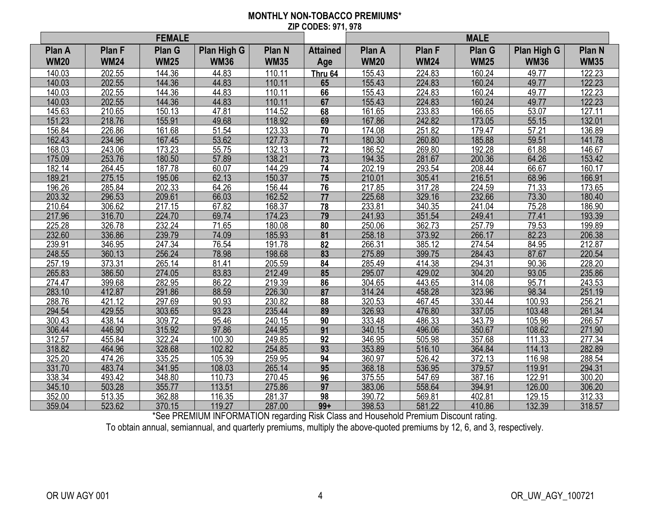#### **MONTHLY NON-TOBACCO PREMIUMS\* ZIP CODES: 971, 978**

|             |               | <b>FEMALE</b> |             |               |                 | <b>MALE</b> |               |             |             |               |
|-------------|---------------|---------------|-------------|---------------|-----------------|-------------|---------------|-------------|-------------|---------------|
| Plan A      | <b>Plan F</b> | Plan G        | Plan High G | <b>Plan N</b> | <b>Attained</b> | Plan A      | <b>Plan F</b> | Plan G      | Plan High G | <b>Plan N</b> |
| <b>WM20</b> | <b>WM24</b>   | <b>WM25</b>   | <b>WM36</b> | <b>WM35</b>   | Age             | <b>WM20</b> | <b>WM24</b>   | <b>WM25</b> | <b>WM36</b> | <b>WM35</b>   |
| 140.03      | 202.55        | 144.36        | 44.83       | 110.11        | Thru 64         | 155.43      | 224.83        | 160.24      | 49.77       | 122.23        |
| 140.03      | 202.55        | 144.36        | 44.83       | 110.11        | 65              | 155.43      | 224.83        | 160.24      | 49.77       | 122.23        |
| 140.03      | 202.55        | 144.36        | 44.83       | 110.11        | 66              | 155.43      | 224.83        | 160.24      | 49.77       | 122.23        |
| 140.03      | 202.55        | 144.36        | 44.83       | 110.11        | 67              | 155.43      | 224.83        | 160.24      | 49.77       | 122.23        |
| 145.63      | 210.65        | 150.13        | 47.81       | 114.52        | 68              | 161.65      | 233.83        | 166.65      | 53.07       | 127.11        |
| 151.23      | 218.76        | 155.91        | 49.68       | 118.92        | 69              | 167.86      | 242.82        | 173.05      | 55.15       | 132.01        |
| 156.84      | 226.86        | 161.68        | 51.54       | 123.33        | 70              | 174.08      | 251.82        | 179.47      | 57.21       | 136.89        |
| 162.43      | 234.96        | 167.45        | 53.62       | 127.73        | 71              | 180.30      | 260.80        | 185.88      | 59.51       | 141.78        |
| 168.03      | 243.06        | 173.23        | 55.75       | 132.13        | 72              | 186.52      | 269.80        | 192.28      | 61.88       | 146.67        |
| 175.09      | 253.76        | 180.50        | 57.89       | 138.21        | $\overline{73}$ | 194.35      | 281.67        | 200.36      | 64.26       | 153.42        |
| 182.14      | 264.45        | 187.78        | 60.07       | 144.29        | 74              | 202.19      | 293.54        | 208.44      | 66.67       | 160.17        |
| 189.21      | 275.15        | 195.06        | 62.13       | 150.37        | 75              | 210.01      | 305.41        | 216.51      | 68.96       | 166.91        |
| 196.26      | 285.84        | 202.33        | 64.26       | 156.44        | 76              | 217.85      | 317.28        | 224.59      | 71.33       | 173.65        |
| 203.32      | 296.53        | 209.61        | 66.03       | 162.52        | 77              | 225.68      | 329.16        | 232.66      | 73.30       | 180.40        |
| 210.64      | 306.62        | 217.15        | 67.82       | 168.37        | 78              | 233.81      | 340.35        | 241.04      | 75.28       | 186.90        |
| 217.96      | 316.70        | 224.70        | 69.74       | 174.23        | 79              | 241.93      | 351.54        | 249.41      | 77.41       | 193.39        |
| 225.28      | 326.78        | 232.24        | 71.65       | 180.08        | 80              | 250.06      | 362.73        | 257.79      | 79.53       | 199.89        |
| 232.60      | 336.86        | 239.79        | 74.09       | 185.93        | 81              | 258.18      | 373.92        | 266.17      | 82.23       | 206.38        |
| 239.91      | 346.95        | 247.34        | 76.54       | 191.78        | 82              | 266.31      | 385.12        | 274.54      | 84.95       | 212.87        |
| 248.55      | 360.13        | 256.24        | 78.98       | 198.68        | 83              | 275.89      | 399.75        | 284.43      | 87.67       | 220.54        |
| 257.19      | 373.31        | 265.14        | 81.41       | 205.59        | 84              | 285.49      | 414.38        | 294.31      | 90.36       | 228.20        |
| 265.83      | 386.50        | 274.05        | 83.83       | 212.49        | 85              | 295.07      | 429.02        | 304.20      | 93.05       | 235.86        |
| 274.47      | 399.68        | 282.95        | 86.22       | 219.39        | 86              | 304.65      | 443.65        | 314.08      | 95.71       | 243.53        |
| 283.10      | 412.87        | 291.86        | 88.59       | 226.30        | 87              | 314.24      | 458.28        | 323.96      | 98.34       | 251.19        |
| 288.76      | 421.12        | 297.69        | 90.93       | 230.82        | 88              | 320.53      | 467.45        | 330.44      | 100.93      | 256.21        |
| 294.54      | 429.55        | 303.65        | 93.23       | 235.44        | 89              | 326.93      | 476.80        | 337.05      | 103.48      | 261.34        |
| 300.43      | 438.14        | 309.72        | 95.46       | 240.15        | 90              | 333.48      | 486.33        | 343.79      | 105.96      | 266.57        |
| 306.44      | 446.90        | 315.92        | 97.86       | 244.95        | $\overline{91}$ | 340.15      | 496.06        | 350.67      | 108.62      | 271.90        |
| 312.57      | 455.84        | 322.24        | 100.30      | 249.85        | 92              | 346.95      | 505.98        | 357.68      | 111.33      | 277.34        |
| 318.82      | 464.96        | 328.68        | 102.82      | 254.85        | 93              | 353.89      | 516.10        | 364.84      | 114.13      | 282.89        |
| 325.20      | 474.26        | 335.25        | 105.39      | 259.95        | 94              | 360.97      | 526.42        | 372.13      | 116.98      | 288.54        |
| 331.70      | 483.74        | 341.95        | 108.03      | 265.14        | 95              | 368.18      | 536.95        | 379.57      | 119.91      | 294.31        |
| 338.34      | 493.42        | 348.80        | 110.73      | 270.45        | 96              | 375.55      | 547.69        | 387.16      | 122.91      | 300.20        |
| 345.10      | 503.28        | 355.77        | 113.51      | 275.86        | 97              | 383.06      | 558.64        | 394.91      | 126.00      | 306.20        |
| 352.00      | 513.35        | 362.88        | 116.35      | 281.37        | 98              | 390.72      | 569.81        | 402.81      | 129.15      | 312.33        |
| 359.04      | 523.62        | 370.15        | 119.27      | 287.00        | $99+$           | 398.53      | 581.22        | 410.86      | 132.39      | 318.57        |

\*See PREMIUM INFORMATION regarding Risk Class and Household Premium Discount rating.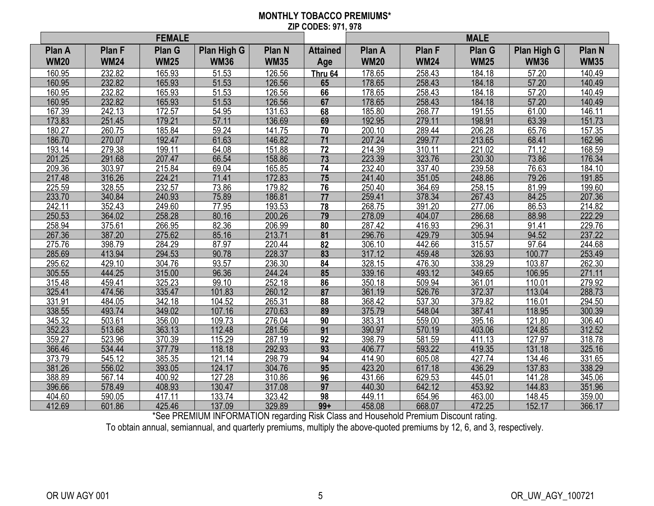#### **MONTHLY TOBACCO PREMIUMS\* ZIP CODES: 971, 978**

|             |             | <b>FEMALE</b> |             |               |                 | <b>MALE</b> |               |               |                    |                   |
|-------------|-------------|---------------|-------------|---------------|-----------------|-------------|---------------|---------------|--------------------|-------------------|
| Plan A      | Plan F      | Plan G        | Plan High G | <b>Plan N</b> | <b>Attained</b> | Plan A      | <b>Plan F</b> | <b>Plan G</b> | <b>Plan High G</b> | Plan <sub>N</sub> |
| <b>WM20</b> | <b>WM24</b> | <b>WM25</b>   | <b>WM36</b> | <b>WM35</b>   | Age             | <b>WM20</b> | <b>WM24</b>   | <b>WM25</b>   | <b>WM36</b>        | <b>WM35</b>       |
| 160.95      | 232.82      | 165.93        | 51.53       | 126.56        | Thru 64         | 178.65      | 258.43        | 184.18        | 57.20              | 140.49            |
| 160.95      | 232.82      | 165.93        | 51.53       | 126.56        | 65              | 178.65      | 258.43        | 184.18        | 57.20              | 140.49            |
| 160.95      | 232.82      | 165.93        | 51.53       | 126.56        | 66              | 178.65      | 258.43        | 184.18        | 57.20              | 140.49            |
| 160.95      | 232.82      | 165.93        | 51.53       | 126.56        | 67              | 178.65      | 258.43        | 184.18        | 57.20              | 140.49            |
| 167.39      | 242.13      | 172.57        | 54.95       | 131.63        | 68              | 185.80      | 268.77        | 191.55        | 61.00              | 146.11            |
| 173.83      | 251.45      | 179.21        | 57.11       | 136.69        | 69              | 192.95      | 279.11        | 198.91        | 63.39              | 151.73            |
| 180.27      | 260.75      | 185.84        | 59.24       | 141.75        | 70              | 200.10      | 289.44        | 206.28        | 65.76              | 157.35            |
| 186.70      | 270.07      | 192.47        | 61.63       | 146.82        | 71              | 207.24      | 299.77        | 213.65        | 68.41              | 162.96            |
| 193.14      | 279.38      | 199.11        | 64.08       | 151.88        | 72              | 214.39      | 310.11        | 221.02        | 71.12              | 168.59            |
| 201.25      | 291.68      | 207.47        | 66.54       | 158.86        | 73              | 223.39      | 323.76        | 230.30        | 73.86              | 176.34            |
| 209.36      | 303.97      | 215.84        | 69.04       | 165.85        | 74              | 232.40      | 337.40        | 239.58        | 76.63              | 184.10            |
| 217.48      | 316.26      | 224.21        | 71.41       | 172.83        | $\overline{75}$ | 241.40      | 351.05        | 248.86        | 79.26              | 191.85            |
| 225.59      | 328.55      | 232.57        | 73.86       | 179.82        | 76              | 250.40      | 364.69        | 258.15        | 81.99              | 199.60            |
| 233.70      | 340.84      | 240.93        | 75.89       | 186.81        | 77              | 259.41      | 378.34        | 267.43        | 84.25              | 207.36            |
| 242.11      | 352.43      | 249.60        | 77.95       | 193.53        | 78              | 268.75      | 391.20        | 277.06        | 86.53              | 214.82            |
| 250.53      | 364.02      | 258.28        | 80.16       | 200.26        | 79              | 278.09      | 404.07        | 286.68        | 88.98              | 222.29            |
| 258.94      | 375.61      | 266.95        | 82.36       | 206.99        | 80              | 287.42      | 416.93        | 296.31        | 91.41              | 229.76            |
| 267.36      | 387.20      | 275.62        | 85.16       | 213.71        | 81              | 296.76      | 429.79        | 305.94        | 94.52              | 237.22            |
| 275.76      | 398.79      | 284.29        | 87.97       | 220.44        | 82              | 306.10      | 442.66        | 315.57        | 97.64              | 244.68            |
| 285.69      | 413.94      | 294.53        | 90.78       | 228.37        | 83              | 317.12      | 459.48        | 326.93        | 100.77             | 253.49            |
| 295.62      | 429.10      | 304.76        | 93.57       | 236.30        | 84              | 328.15      | 476.30        | 338.29        | 103.87             | 262.30            |
| 305.55      | 444.25      | 315.00        | 96.36       | 244.24        | 85              | 339.16      | 493.12        | 349.65        | 106.95             | 271.11            |
| 315.48      | 459.41      | 325.23        | 99.10       | 252.18        | 86              | 350.18      | 509.94        | 361.01        | 110.01             | 279.92            |
| 325.41      | 474.56      | 335.47        | 101.83      | 260.12        | 87              | 361.19      | 526.76        | 372.37        | 113.04             | 288.73            |
| 331.91      | 484.05      | 342.18        | 104.52      | 265.31        | 88              | 368.42      | 537.30        | 379.82        | 116.01             | 294.50            |
| 338.55      | 493.74      | 349.02        | 107.16      | 270.63        | 89              | 375.79      | 548.04        | 387.41        | 118.95             | 300.39            |
| 345.32      | 503.61      | 356.00        | 109.73      | 276.04        | 90              | 383.31      | 559.00        | 395.16        | 121.80             | 306.40            |
| 352.23      | 513.68      | 363.13        | 112.48      | 281.56        | $\overline{91}$ | 390.97      | 570.19        | 403.06        | 124.85             | 312.52            |
| 359.27      | 523.96      | 370.39        | 115.29      | 287.19        | 92              | 398.79      | 581.59        | 411.13        | 127.97             | 318.78            |
| 366.46      | 534.44      | 377.79        | 118.18      | 292.93        | 93              | 406.77      | 593.22        | 419.35        | 131.18             | 325.16            |
| 373.79      | 545.12      | 385.35        | 121.14      | 298.79        | 94              | 414.90      | 605.08        | 427.74        | 134.46             | 331.65            |
| 381.26      | 556.02      | 393.05        | 124.17      | 304.76        | 95              | 423.20      | 617.18        | 436.29        | 137.83             | 338.29            |
| 388.89      | 567.14      | 400.92        | 127.28      | 310.86        | 96              | 431.66      | 629.53        | 445.01        | 141.28             | 345.06            |
| 396.66      | 578.49      | 408.93        | 130.47      | 317.08        | 97              | 440.30      | 642.12        | 453.92        | 144.83             | 351.96            |
| 404.60      | 590.05      | 417.11        | 133.74      | 323.42        | 98              | 449.11      | 654.96        | 463.00        | 148.45             | 359.00            |
| 412.69      | 601.86      | 425.46        | 137.09      | 329.89        | $99+$           | 458.08      | 668.07        | 472.25        | 152.17             | 366.17            |

\*See PREMIUM INFORMATION regarding Risk Class and Household Premium Discount rating.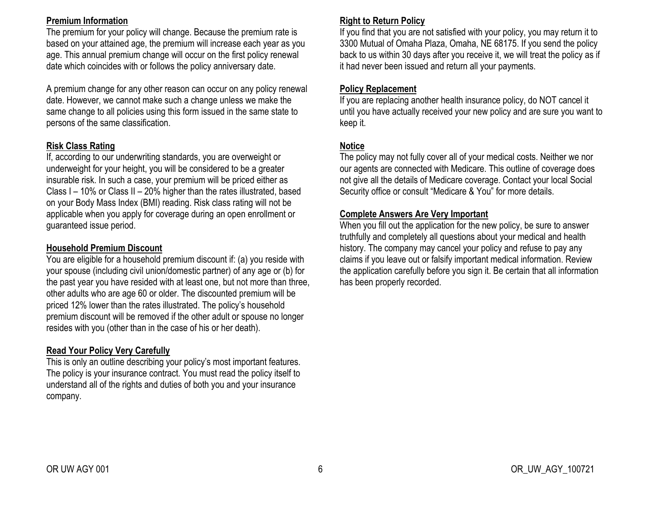### **Premium Information**

The premium for your policy will change. Because the premium rate is based on your attained age, the premium will increase each year as you age. This annual premium change will occur on the first policy renewal date which coincides with or follows the policy anniversary date.

A premium change for any other reason can occur on any policy renewal date. However, we cannot make such a change unless we make the same change to all policies using this form issued in the same state to persons of the same classification.

## **Risk Class Rating**

If, according to our underwriting standards, you are overweight or underweight for your height, you will be considered to be a greater insurable risk. In such a case, your premium will be priced either as Class I – 10% or Class II – 20% higher than the rates illustrated, based on your Body Mass Index (BMI) reading. Risk class rating will not be applicable when you apply for coverage during an open enrollment or guaranteed issue period.

### **Household Premium Discount**

You are eligible for a household premium discount if: (a) you reside with your spouse (including civil union/domestic partner) of any age or (b) for the past year you have resided with at least one, but not more than three, other adults who are age 60 or older. The discounted premium will be priced 12% lower than the rates illustrated. The policy's household premium discount will be removed if the other adult or spouse no longer resides with you (other than in the case of his or her death).

## **Read Your Policy Very Carefully**

This is only an outline describing your policy's most important features. The policy is your insurance contract. You must read the policy itself to understand all of the rights and duties of both you and your insurance company.

## **Right to Return Policy**

If you find that you are not satisfied with your policy, you may return it to 3300 Mutual of Omaha Plaza, Omaha, NE 68175. If you send the policy back to us within 30 days after you receive it, we will treat the policy as if it had never been issued and return all your payments.

## **Policy Replacement**

If you are replacing another health insurance policy, do NOT cancel it until you have actually received your new policy and are sure you want to keep it.

## **Notice**

The policy may not fully cover all of your medical costs. Neither we nor our agents are connected with Medicare. This outline of coverage does not give all the details of Medicare coverage. Contact your local Social Security office or consult "Medicare & You" for more details.

## **Complete Answers Are Very Important**

When you fill out the application for the new policy, be sure to answer truthfully and completely all questions about your medical and health history. The company may cancel your policy and refuse to pay any claims if you leave out or falsify important medical information. Review the application carefully before you sign it. Be certain that all information has been properly recorded.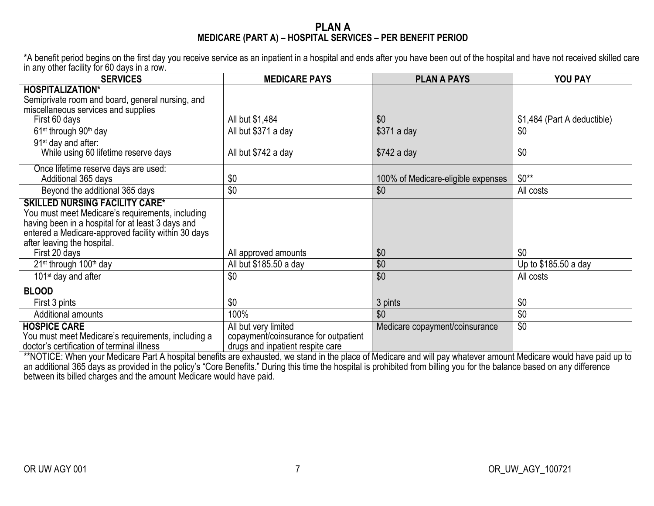### **PLAN A MEDICARE (PART A) – HOSPITAL SERVICES – PER BENEFIT PERIOD**

\*A benefit period begins on the first day you receive service as an inpatient in a hospital and ends after you have been out of the hospital and have not received skilled care in any other facility for 60 days in a row.

| <b>SERVICES</b>                                                                                                                                                                                                                                       | <b>MEDICARE PAYS</b>                                                                             | <b>PLAN A PAYS</b>                 | YOU PAY                     |
|-------------------------------------------------------------------------------------------------------------------------------------------------------------------------------------------------------------------------------------------------------|--------------------------------------------------------------------------------------------------|------------------------------------|-----------------------------|
| <b>HOSPITALIZATION*</b><br>Semiprivate room and board, general nursing, and                                                                                                                                                                           |                                                                                                  |                                    |                             |
| miscellaneous services and supplies<br>First 60 days                                                                                                                                                                                                  | All but \$1,484                                                                                  | \$0                                | \$1,484 (Part A deductible) |
| 61 <sup>st</sup> through 90 <sup>th</sup> day                                                                                                                                                                                                         | All but \$371 a day                                                                              | \$371 a day                        | \$0                         |
| 91 <sup>st</sup> day and after:<br>While using 60 lifetime reserve days                                                                                                                                                                               | All but \$742 a day                                                                              | $$742$ a day                       | \$0                         |
| Once lifetime reserve days are used:<br>Additional 365 days                                                                                                                                                                                           | \$0                                                                                              | 100% of Medicare-eligible expenses | $$0**$                      |
| Beyond the additional 365 days                                                                                                                                                                                                                        | \$0                                                                                              | \$0                                | All costs                   |
| <b>SKILLED NURSING FACILITY CARE*</b><br>You must meet Medicare's requirements, including<br>having been in a hospital for at least 3 days and<br>entered a Medicare-approved facility within 30 days<br>after leaving the hospital.<br>First 20 days | All approved amounts                                                                             | \$0                                | \$0                         |
| 21 <sup>st</sup> through 100 <sup>th</sup> day                                                                                                                                                                                                        | All but \$185.50 a day                                                                           | \$0                                | Up to \$185.50 a day        |
| 101 <sup>st</sup> day and after                                                                                                                                                                                                                       | \$0                                                                                              | \$0                                | All costs                   |
| <b>BLOOD</b>                                                                                                                                                                                                                                          |                                                                                                  |                                    |                             |
| First 3 pints                                                                                                                                                                                                                                         | \$0                                                                                              | 3 pints                            | \$0                         |
| Additional amounts                                                                                                                                                                                                                                    | 100%                                                                                             | \$0                                | \$0                         |
| <b>HOSPICE CARE</b><br>You must meet Medicare's requirements, including a<br>doctor's certification of terminal illness                                                                                                                               | All but very limited<br>copayment/coinsurance for outpatient<br>drugs and inpatient respite care | Medicare copayment/coinsurance     | $\overline{30}$             |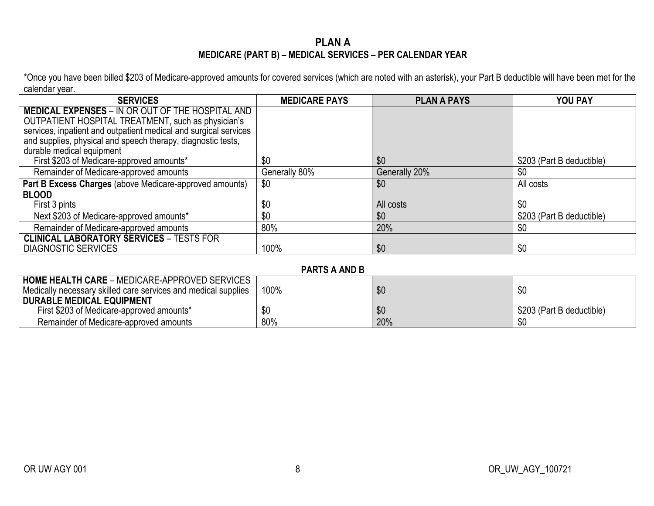## **PLAN A MEDICARE (PART B) – MEDICAL SERVICES – PER CALENDAR YEAR**

\*Once you have been billed \$203 of Medicare-approved amounts for covered services (which are noted with an asterisk), your Part B deductible will have been met for the calendar year.

| <b>SERVICES</b>                                                  | <b>MEDICARE PAYS</b> | <b>PLAN A PAYS</b> | <b>YOU PAY</b>            |
|------------------------------------------------------------------|----------------------|--------------------|---------------------------|
| <b>MEDICAL EXPENSES - IN OR OUT OF THE HOSPITAL AND</b>          |                      |                    |                           |
| OUTPATIENT HOSPITAL TREATMENT, such as physician's               |                      |                    |                           |
| services, inpatient and outpatient medical and surgical services |                      |                    |                           |
| and supplies, physical and speech therapy, diagnostic tests,     |                      |                    |                           |
| durable medical equipment                                        |                      |                    |                           |
| First \$203 of Medicare-approved amounts*                        | \$0                  | \$0                | \$203 (Part B deductible) |
| Remainder of Medicare-approved amounts                           | Generally 80%        | Generally 20%      | \$0                       |
| Part B Excess Charges (above Medicare-approved amounts)          | \$0                  | \$0                | All costs                 |
| <b>BLOOD</b>                                                     |                      |                    |                           |
| First 3 pints                                                    | \$0                  | All costs          | \$0                       |
| Next \$203 of Medicare-approved amounts*                         | \$0                  | \$0                | \$203 (Part B deductible) |
| Remainder of Medicare-approved amounts                           | 80%                  | 20%                | \$0                       |
| <b>CLINICAL LABORATORY SERVICES - TESTS FOR</b>                  |                      |                    |                           |
| <b>DIAGNOSTIC SERVICES</b>                                       | 100%                 | \$0                | \$0                       |

**PARTS A AND B**

| <b>HOME HEALTH CARE - MEDICARE-APPROVED SERVICES</b>           |      |     |                           |
|----------------------------------------------------------------|------|-----|---------------------------|
| Medically necessary skilled care services and medical supplies | 100% | \$0 |                           |
| <b>DURABLE MEDICAL EQUIPMENT</b>                               |      |     |                           |
| First \$203 of Medicare-approved amounts*                      | \$0  | \$0 | \$203 (Part B deductible) |
| Remainder of Medicare-approved amounts                         | 80%  | 20% |                           |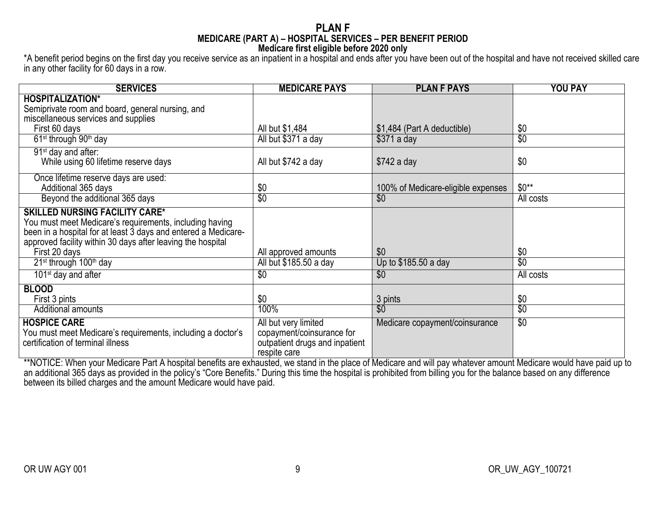#### **PLAN F MEDICARE (PART A) – HOSPITAL SERVICES – PER BENEFIT PERIOD Medicare first eligible before 2020 only**

\*A benefit period begins on the first day you receive service as an inpatient in a hospital and ends after you have been out of the hospital and have not received skilled care in any other facility for 60 days in a row.

| <b>SERVICES</b>                                                                                                                                                                                                                   | <b>MEDICARE PAYS</b>                                                                                | <b>PLAN F PAYS</b>                 | <b>YOU PAY</b>   |
|-----------------------------------------------------------------------------------------------------------------------------------------------------------------------------------------------------------------------------------|-----------------------------------------------------------------------------------------------------|------------------------------------|------------------|
| <b>HOSPITALIZATION*</b>                                                                                                                                                                                                           |                                                                                                     |                                    |                  |
| Semiprivate room and board, general nursing, and                                                                                                                                                                                  |                                                                                                     |                                    |                  |
| miscellaneous services and supplies                                                                                                                                                                                               |                                                                                                     |                                    |                  |
| First 60 days                                                                                                                                                                                                                     | All but \$1,484                                                                                     | \$1,484 (Part A deductible)        | \$0              |
| 61 <sup>st</sup> through 90 <sup>th</sup> day                                                                                                                                                                                     | All but \$371 a day                                                                                 | $$371$ a day                       | $\overline{\$0}$ |
| 91 <sup>st</sup> day and after:                                                                                                                                                                                                   |                                                                                                     |                                    |                  |
| While using 60 lifetime reserve days                                                                                                                                                                                              | All but \$742 a day                                                                                 | $$742$ a day                       | \$0              |
| Once lifetime reserve days are used:                                                                                                                                                                                              |                                                                                                     |                                    |                  |
| Additional 365 days                                                                                                                                                                                                               | \$0                                                                                                 | 100% of Medicare-eligible expenses | $$0**$           |
| Beyond the additional 365 days                                                                                                                                                                                                    | $\overline{30}$                                                                                     | \$0                                | All costs        |
| <b>SKILLED NURSING FACILITY CARE*</b><br>You must meet Medicare's requirements, including having<br>been in a hospital for at least 3 days and entered a Medicare-<br>approved facility within 30 days after leaving the hospital |                                                                                                     |                                    |                  |
| First 20 days                                                                                                                                                                                                                     | All approved amounts                                                                                | \$0                                | \$0              |
| 21 <sup>st</sup> through 100 <sup>th</sup> day                                                                                                                                                                                    | All but \$185.50 a day                                                                              | Up to \$185.50 a day               | $\overline{30}$  |
| 101 <sup>st</sup> day and after                                                                                                                                                                                                   | $\overline{30}$                                                                                     | $\overline{50}$                    | All costs        |
| <b>BLOOD</b>                                                                                                                                                                                                                      |                                                                                                     |                                    |                  |
| First 3 pints                                                                                                                                                                                                                     | \$0                                                                                                 | 3 pints                            | \$0              |
| <b>Additional amounts</b>                                                                                                                                                                                                         | 100%                                                                                                | $\overline{30}$                    | $\overline{\$0}$ |
| <b>HOSPICE CARE</b><br>You must meet Medicare's requirements, including a doctor's<br>certification of terminal illness                                                                                                           | All but very limited<br>copayment/coinsurance for<br>outpatient drugs and inpatient<br>respite care | Medicare copayment/coinsurance     | $\overline{30}$  |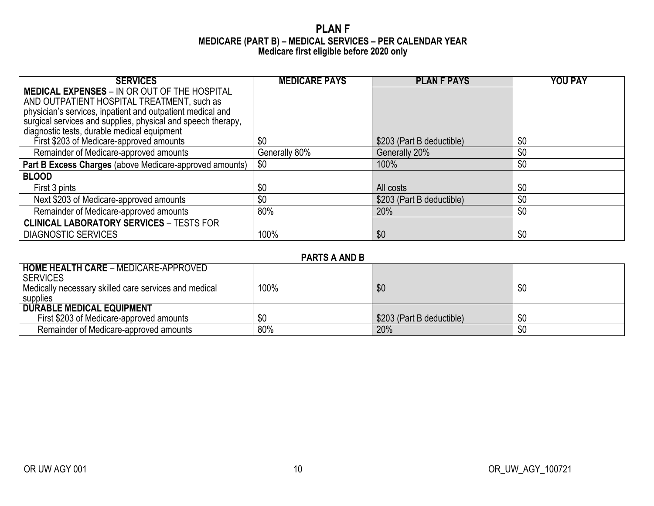### **PLAN F MEDICARE (PART B) – MEDICAL SERVICES – PER CALENDAR YEAR Medicare first eligible before 2020 only**

| <b>SERVICES</b>                                              | <b>MEDICARE PAYS</b> | <b>PLAN F PAYS</b>        | <b>YOU PAY</b> |
|--------------------------------------------------------------|----------------------|---------------------------|----------------|
| <b>MEDICAL EXPENSES - IN OR OUT OF THE HOSPITAL</b>          |                      |                           |                |
| AND OUTPATIENT HOSPITAL TREATMENT, such as                   |                      |                           |                |
| physician's services, inpatient and outpatient medical and   |                      |                           |                |
| surgical services and supplies, physical and speech therapy, |                      |                           |                |
| diagnostic tests, durable medical equipment                  |                      |                           |                |
| First \$203 of Medicare-approved amounts                     | \$0                  | \$203 (Part B deductible) | \$0            |
| Remainder of Medicare-approved amounts                       | Generally 80%        | Generally 20%             | \$0            |
| Part B Excess Charges (above Medicare-approved amounts)      | \$0                  | 100%                      | \$0            |
| <b>BLOOD</b>                                                 |                      |                           |                |
| First 3 pints                                                | \$0                  | All costs                 | \$0            |
| Next \$203 of Medicare-approved amounts                      | \$0                  | \$203 (Part B deductible) | \$0            |
| Remainder of Medicare-approved amounts                       | 80%                  | 20%                       | \$0            |
| <b>CLINICAL LABORATORY SERVICES - TESTS FOR</b>              |                      |                           |                |
| <b>DIAGNOSTIC SERVICES</b>                                   | 100%                 | \$0                       | \$0            |

| <b>PARTS A AND B</b> |  |  |  |
|----------------------|--|--|--|
|----------------------|--|--|--|

| <b>HOME HEALTH CARE - MEDICARE-APPROVED</b>           |      |                           |     |
|-------------------------------------------------------|------|---------------------------|-----|
| I SERVICES                                            |      |                           |     |
| Medically necessary skilled care services and medical | 100% | \$0                       | \$0 |
| supplies                                              |      |                           |     |
| <b>DURABLE MEDICAL EQUIPMENT</b>                      |      |                           |     |
| First \$203 of Medicare-approved amounts              | \$0  | \$203 (Part B deductible) | \$0 |
| Remainder of Medicare-approved amounts                | 80%  | 20%                       | \$0 |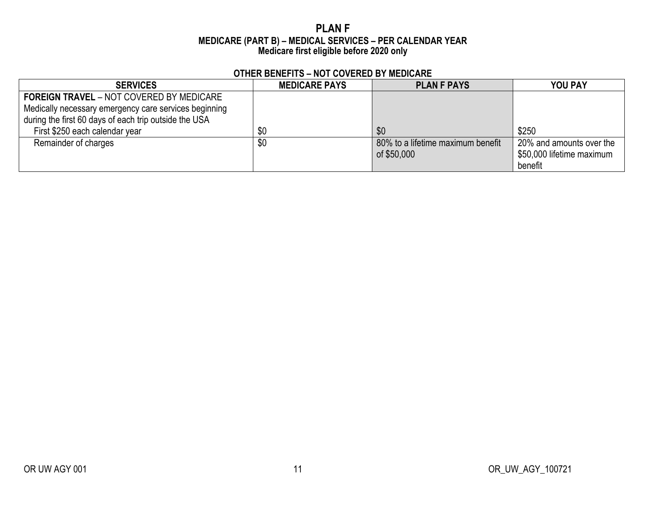### **PLAN F MEDICARE (PART B) – MEDICAL SERVICES – PER CALENDAR YEAR Medicare first eligible before 2020 only**

| <b>SERVICES</b>                                                                                                                                                   | <b>MEDICARE PAYS</b> | <b>PLAN F PAYS</b>                               | <b>YOU PAY</b>                                                   |
|-------------------------------------------------------------------------------------------------------------------------------------------------------------------|----------------------|--------------------------------------------------|------------------------------------------------------------------|
| <b>FOREIGN TRAVEL - NOT COVERED BY MEDICARE</b><br>Medically necessary emergency care services beginning<br>during the first 60 days of each trip outside the USA |                      |                                                  |                                                                  |
| First \$250 each calendar year                                                                                                                                    | \$0                  | \$0                                              | \$250                                                            |
| Remainder of charges                                                                                                                                              | \$0                  | 80% to a lifetime maximum benefit<br>of \$50,000 | 20% and amounts over the<br>\$50,000 lifetime maximum<br>benefit |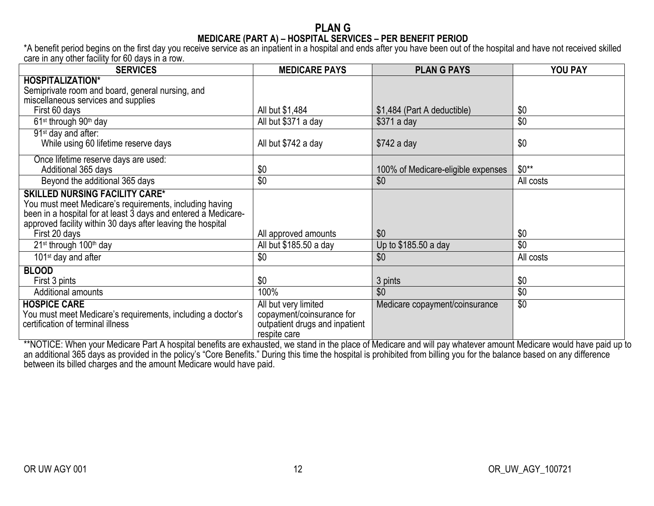### **PLAN G MEDICARE (PART A) – HOSPITAL SERVICES – PER BENEFIT PERIOD**

\*A benefit period begins on the first day you receive service as an inpatient in a hospital and ends after you have been out of the hospital and have not received skilled care in any other facility for 60 days in a row.

| <b>SERVICES</b>                                                                                                                                                                                                                   | <b>MEDICARE PAYS</b>                                                                                | <b>PLAN G PAYS</b>                 | <b>YOU PAY</b>  |
|-----------------------------------------------------------------------------------------------------------------------------------------------------------------------------------------------------------------------------------|-----------------------------------------------------------------------------------------------------|------------------------------------|-----------------|
| <b>HOSPITALIZATION*</b>                                                                                                                                                                                                           |                                                                                                     |                                    |                 |
| Semiprivate room and board, general nursing, and                                                                                                                                                                                  |                                                                                                     |                                    |                 |
| miscellaneous services and supplies                                                                                                                                                                                               |                                                                                                     |                                    |                 |
| First 60 days                                                                                                                                                                                                                     | All but \$1,484                                                                                     | \$1,484 (Part A deductible)        | \$0             |
| 61 <sup>st</sup> through 90 <sup>th</sup> day                                                                                                                                                                                     | All but \$371 a day                                                                                 | $$371$ a day                       | \$0             |
| 91 <sup>st</sup> day and after:                                                                                                                                                                                                   |                                                                                                     |                                    |                 |
| While using 60 lifetime reserve days                                                                                                                                                                                              | All but \$742 a day                                                                                 | $$742$ a day                       | \$0             |
| Once lifetime reserve days are used:                                                                                                                                                                                              |                                                                                                     |                                    |                 |
| Additional 365 days                                                                                                                                                                                                               | \$0                                                                                                 | 100% of Medicare-eligible expenses | $$0**$          |
| Beyond the additional 365 days                                                                                                                                                                                                    | \$0                                                                                                 | \$0                                | All costs       |
| <b>SKILLED NURSING FACILITY CARE*</b><br>You must meet Medicare's requirements, including having<br>been in a hospital for at least 3 days and entered a Medicare-<br>approved facility within 30 days after leaving the hospital |                                                                                                     |                                    |                 |
| First 20 days                                                                                                                                                                                                                     | All approved amounts                                                                                | \$0                                | \$0             |
| 21 <sup>st</sup> through 100 <sup>th</sup> day                                                                                                                                                                                    | All but \$185.50 a day                                                                              | Up to \$185.50 a day               | \$0             |
| 101 <sup>st</sup> day and after                                                                                                                                                                                                   | \$0                                                                                                 | \$0                                | All costs       |
| <b>BLOOD</b>                                                                                                                                                                                                                      |                                                                                                     |                                    |                 |
| First 3 pints                                                                                                                                                                                                                     | \$0                                                                                                 | 3 pints                            | \$0             |
| <b>Additional amounts</b>                                                                                                                                                                                                         | 100%                                                                                                | \$0                                | \$0             |
| <b>HOSPICE CARE</b><br>You must meet Medicare's requirements, including a doctor's<br>certification of terminal illness                                                                                                           | All but very limited<br>copayment/coinsurance for<br>outpatient drugs and inpatient<br>respite care | Medicare copayment/coinsurance     | $\overline{50}$ |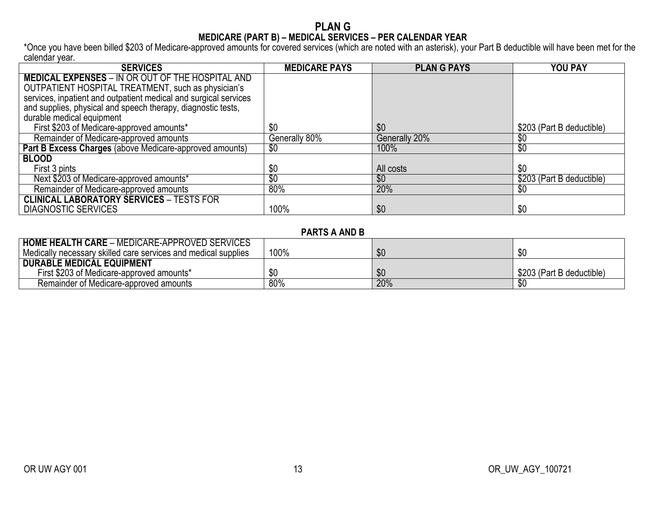#### **PLAN G MEDICARE (PART B) – MEDICAL SERVICES – PER CALENDAR YEAR**

\*Once you have been billed \$203 of Medicare-approved amounts for covered services (which are noted with an asterisk), your Part B deductible will have been met for the calendar year.

| <b>SERVICES</b>                                                  | <b>MEDICARE PAYS</b> | <b>PLAN G PAYS</b> | YOU PAY                   |
|------------------------------------------------------------------|----------------------|--------------------|---------------------------|
| <b>MEDICAL EXPENSES - IN OR OUT OF THE HOSPITAL AND</b>          |                      |                    |                           |
| OUTPATIENT HOSPITAL TREATMENT, such as physician's               |                      |                    |                           |
| services, inpatient and outpatient medical and surgical services |                      |                    |                           |
| and supplies, physical and speech therapy, diagnostic tests,     |                      |                    |                           |
| durable medical equipment                                        |                      |                    |                           |
| First \$203 of Medicare-approved amounts*                        | \$0                  | \$0                | \$203 (Part B deductible) |
| Remainder of Medicare-approved amounts                           | Generally 80%        | Generally 20%      | \$0                       |
| Part B Excess Charges (above Medicare-approved amounts)          | \$0                  | 100%               | $\sqrt[6]{}$              |
| <b>BLOOD</b>                                                     |                      |                    |                           |
| First 3 pints                                                    | \$0                  | All costs          | \$0                       |
| Next \$203 of Medicare-approved amounts*                         | \$0                  | \$0                | \$203 (Part B deductible) |
| Remainder of Medicare-approved amounts                           | 80%                  | 20%                | \$0                       |
| <b>CLINICAL LABORATORY SERVICES - TESTS FOR</b>                  |                      |                    |                           |
| <b>DIAGNOSTIC SERVICES</b>                                       | 100%                 | \$0                | \$0                       |

### **PARTS A AND B**

| <b>HOME HEALTH CARE - MEDICARE-APPROVED SERVICES</b>           |      |     |                           |
|----------------------------------------------------------------|------|-----|---------------------------|
| Medically necessary skilled care services and medical supplies | 100% | \$0 | n n                       |
| <b>DURABLE MEDICAL EQUIPMENT</b>                               |      |     |                           |
| First \$203 of Medicare-approved amounts*                      |      | \$0 | \$203 (Part B deductible) |
| Remainder of Medicare-approved amounts                         | 80%  | 20% |                           |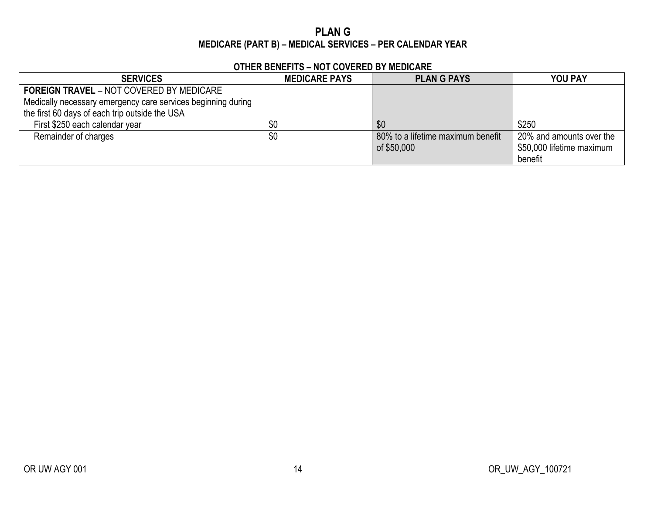## **PLAN G MEDICARE (PART B) – MEDICAL SERVICES – PER CALENDAR YEAR**

| <b>SERVICES</b>                                              | <b>MEDICARE PAYS</b> | <b>PLANG PAYS</b>                 | <b>YOU PAY</b>            |
|--------------------------------------------------------------|----------------------|-----------------------------------|---------------------------|
| <b>FOREIGN TRAVEL - NOT COVERED BY MEDICARE</b>              |                      |                                   |                           |
| Medically necessary emergency care services beginning during |                      |                                   |                           |
| the first 60 days of each trip outside the USA               |                      |                                   |                           |
| First \$250 each calendar year                               | \$0                  | \$0                               | \$250                     |
| Remainder of charges                                         | \$0                  | 80% to a lifetime maximum benefit | 20% and amounts over the  |
|                                                              |                      | of \$50,000                       | \$50,000 lifetime maximum |
|                                                              |                      |                                   | benefit                   |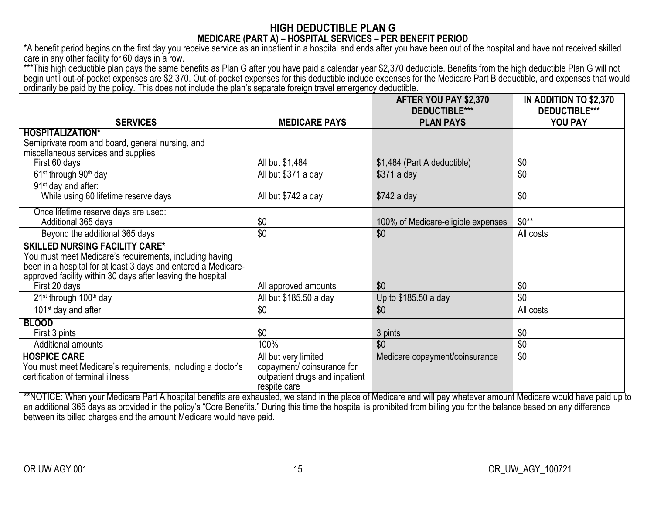## **HIGH DEDUCTIBLE PLAN G MEDICARE (PART A) – HOSPITAL SERVICES – PER BENEFIT PERIOD**

\*A benefit period begins on the first day you receive service as an inpatient in a hospital and ends after you have been out of the hospital and have not received skilled care in any other facility for 60 days in a row.

\*\*\*This high deductible plan pays the same benefits as Plan G after you have paid a calendar year \$2,370 deductible. Benefits from the high deductible Plan G will not begin until out-of-pocket expenses are \$2,370. Out-of-pocket expenses for this deductible include expenses for the Medicare Part B deductible, and expenses that would ordinarily be paid by the policy. This does not include the plan's separate foreign travel emergency deductible.

|                                                                                                                               |                                | AFTER YOU PAY \$2,370                    | IN ADDITION TO \$2,370          |
|-------------------------------------------------------------------------------------------------------------------------------|--------------------------------|------------------------------------------|---------------------------------|
| <b>SERVICES</b>                                                                                                               | <b>MEDICARE PAYS</b>           | <b>DEDUCTIBLE***</b><br><b>PLAN PAYS</b> | <b>DEDUCTIBLE***</b><br>YOU PAY |
| <b>HOSPITALIZATION*</b>                                                                                                       |                                |                                          |                                 |
| Semiprivate room and board, general nursing, and                                                                              |                                |                                          |                                 |
| miscellaneous services and supplies                                                                                           |                                |                                          |                                 |
| First 60 days                                                                                                                 | All but \$1,484                | \$1,484 (Part A deductible)              | \$0                             |
| 61 <sup>st</sup> through 90 <sup>th</sup> day                                                                                 | All but \$371 a day            | $$371$ a day                             | \$0                             |
| 91 <sup>st</sup> day and after:                                                                                               |                                |                                          |                                 |
| While using 60 lifetime reserve days                                                                                          | All but \$742 a day            | $$742$ a day                             | \$0                             |
| Once lifetime reserve days are used:                                                                                          |                                |                                          |                                 |
| Additional 365 days                                                                                                           | \$0                            | 100% of Medicare-eligible expenses       | $$0**$                          |
| Beyond the additional 365 days                                                                                                | \$0                            | \$0                                      | All costs                       |
| <b>SKILLED NURSING FACILITY CARE*</b>                                                                                         |                                |                                          |                                 |
| You must meet Medicare's requirements, including having                                                                       |                                |                                          |                                 |
| been in a hospital for at least 3 days and entered a Medicare-<br>approved facility within 30 days after leaving the hospital |                                |                                          |                                 |
| First 20 days                                                                                                                 | All approved amounts           | \$0                                      | \$0                             |
| 21 <sup>st</sup> through 100 <sup>th</sup> day                                                                                | All but \$185.50 a day         | Up to \$185.50 a day                     | \$0                             |
| 101 <sup>st</sup> day and after                                                                                               | \$0                            | \$0                                      | All costs                       |
| <b>BLOOD</b>                                                                                                                  |                                |                                          |                                 |
| First 3 pints                                                                                                                 | \$0                            | 3 pints                                  | \$0                             |
| <b>Additional amounts</b>                                                                                                     | 100%                           | \$0                                      | \$0                             |
| <b>HOSPICE CARE</b>                                                                                                           | All but very limited           | Medicare copayment/coinsurance           | $\overline{30}$                 |
| You must meet Medicare's requirements, including a doctor's                                                                   | copayment/ coinsurance for     |                                          |                                 |
| certification of terminal illness                                                                                             | outpatient drugs and inpatient |                                          |                                 |
|                                                                                                                               | respite care                   |                                          |                                 |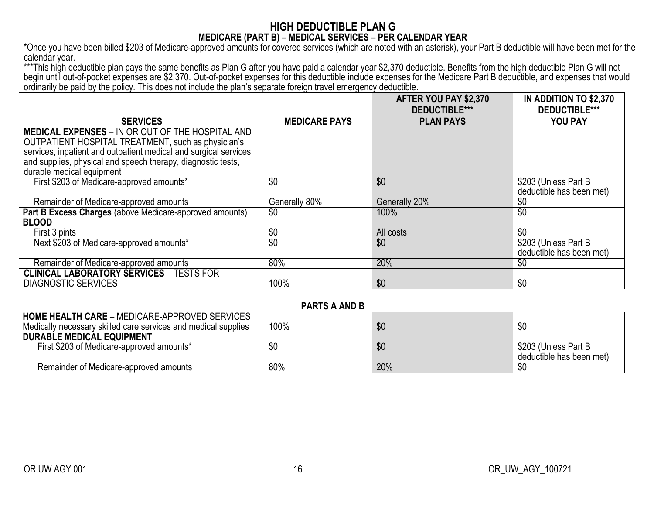### **HIGH DEDUCTIBLE PLAN G MEDICARE (PART B) – MEDICAL SERVICES – PER CALENDAR YEAR**

\*Once you have been billed \$203 of Medicare-approved amounts for covered services (which are noted with an asterisk), your Part B deductible will have been met for the calendar year.

\*\*\*This high deductible plan pays the same benefits as Plan G after you have paid a calendar year \$2,370 deductible. Benefits from the high deductible Plan G will not begin until out-of-pocket expenses are \$2,370. Out-of-pocket expenses for this deductible include expenses for the Medicare Part B deductible, and expenses that would ordinarily be paid by the policy. This does not include the plan's separate foreign travel emergency deductible.

|                                                                                                               |                      | AFTER YOU PAY \$2,370<br><b>DEDUCTIBLE***</b> | <b>IN ADDITION TO \$2,370</b><br><b>DEDUCTIBLE***</b> |
|---------------------------------------------------------------------------------------------------------------|----------------------|-----------------------------------------------|-------------------------------------------------------|
|                                                                                                               |                      |                                               |                                                       |
| <b>SERVICES</b>                                                                                               | <b>MEDICARE PAYS</b> | <b>PLAN PAYS</b>                              | <b>YOU PAY</b>                                        |
| <b>MEDICAL EXPENSES - IN OR OUT OF THE HOSPITAL AND</b><br>OUTPATIENT HOSPITAL TREATMENT, such as physician's |                      |                                               |                                                       |
| services, inpatient and outpatient medical and surgical services                                              |                      |                                               |                                                       |
| and supplies, physical and speech therapy, diagnostic tests,                                                  |                      |                                               |                                                       |
| durable medical equipment                                                                                     |                      |                                               |                                                       |
| First \$203 of Medicare-approved amounts*                                                                     | \$0                  | \$0                                           | \$203 (Unless Part B)<br>deductible has been met)     |
| Remainder of Medicare-approved amounts                                                                        | Generally 80%        | Generally 20%                                 | \$0                                                   |
| Part B Excess Charges (above Medicare-approved amounts)                                                       | \$0                  | 100%                                          | $\overline{50}$                                       |
| <b>BLOOD</b>                                                                                                  |                      |                                               |                                                       |
| First 3 pints                                                                                                 | \$0                  | All costs                                     | \$0                                                   |
| Next \$203 of Medicare-approved amounts*                                                                      | $\overline{30}$      | \$0                                           | \$203 (Unless Part B                                  |
|                                                                                                               |                      |                                               | deductible has been met)                              |
| Remainder of Medicare-approved amounts                                                                        | 80%                  | 20%                                           | \$0                                                   |
| <b>CLINICAL LABORATORY SERVICES - TESTS FOR</b>                                                               |                      |                                               |                                                       |
| <b>DIAGNOSTIC SERVICES</b>                                                                                    | 100%                 | \$0                                           | \$0                                                   |

#### **PARTS A AND B**

| <b>HOME HEALTH CARE - MEDICARE-APPROVED SERVICES</b><br>Medically necessary skilled care services and medical supplies | 100% | \$0 | \$0                                              |
|------------------------------------------------------------------------------------------------------------------------|------|-----|--------------------------------------------------|
| <b>DURABLE MEDICAL EQUIPMENT</b><br>First \$203 of Medicare-approved amounts*                                          | \$0  | \$0 | \$203 (Unless Part B<br>deductible has been met) |
| Remainder of Medicare-approved amounts                                                                                 | 80%  | 20% |                                                  |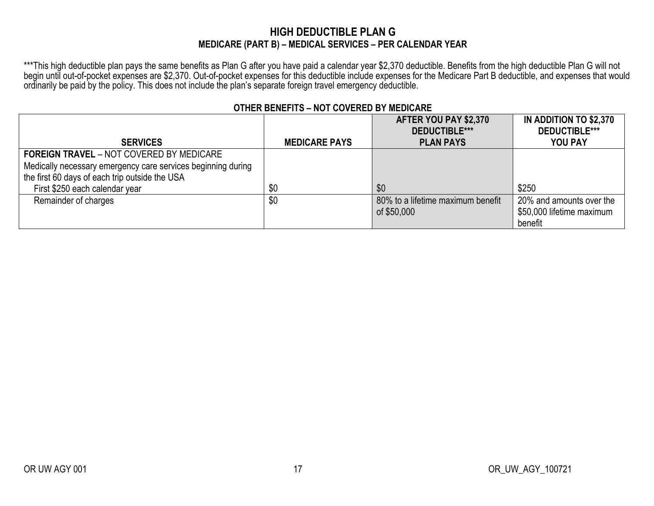## **HIGH DEDUCTIBLE PLAN G MEDICARE (PART B) – MEDICAL SERVICES – PER CALENDAR YEAR**

\*\*\*This high deductible plan pays the same benefits as Plan G after you have paid a calendar year \$2,370 deductible. Benefits from the high deductible Plan G will not begin until out-of-pocket expenses are \$2,370. Out-of-pocket expenses for this deductible include expenses for the Medicare Part B deductible, and expenses that would ordinarily be paid by the policy. This does not include the plan's separate foreign travel emergency deductible.

|                                                              |                      | AFTER YOU PAY \$2,370             | IN ADDITION TO \$2,370    |
|--------------------------------------------------------------|----------------------|-----------------------------------|---------------------------|
|                                                              |                      | DEDUCTIBLE***                     | <b>DEDUCTIBLE***</b>      |
| <b>SERVICES</b>                                              | <b>MEDICARE PAYS</b> | <b>PLAN PAYS</b>                  | <b>YOU PAY</b>            |
| <b>FOREIGN TRAVEL - NOT COVERED BY MEDICARE</b>              |                      |                                   |                           |
| Medically necessary emergency care services beginning during |                      |                                   |                           |
| the first 60 days of each trip outside the USA               |                      |                                   |                           |
| First \$250 each calendar year                               | \$0                  | \$0                               | \$250                     |
| Remainder of charges                                         | \$0                  | 80% to a lifetime maximum benefit | 20% and amounts over the  |
|                                                              |                      | of \$50,000                       | \$50,000 lifetime maximum |
|                                                              |                      |                                   | benefit                   |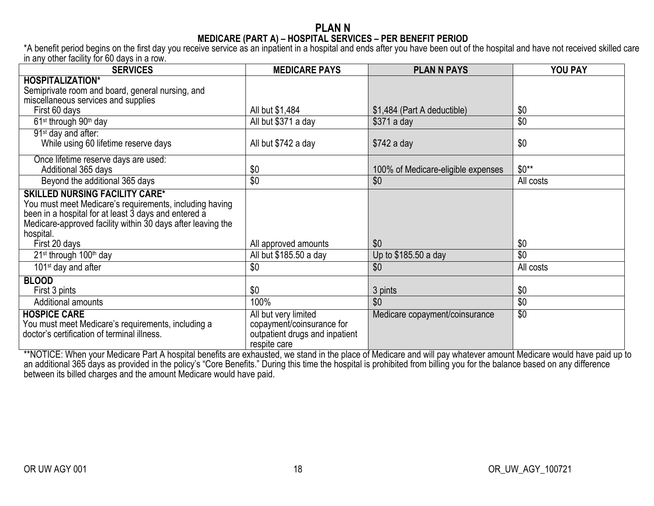### **PLAN N MEDICARE (PART A) – HOSPITAL SERVICES – PER BENEFIT PERIOD**

\*A benefit period begins on the first day you receive service as an inpatient in a hospital and ends after you have been out of the hospital and have not received skilled care in any other facility for 60 days in a row.

| <b>SERVICES</b>                                             | <b>MEDICARE PAYS</b>           | <b>PLAN N PAYS</b>                 | YOU PAY         |
|-------------------------------------------------------------|--------------------------------|------------------------------------|-----------------|
| <b>HOSPITALIZATION*</b>                                     |                                |                                    |                 |
| Semiprivate room and board, general nursing, and            |                                |                                    |                 |
| miscellaneous services and supplies                         |                                |                                    |                 |
| First 60 days                                               | All but \$1,484                | \$1,484 (Part A deductible)        | \$0             |
| 61 <sup>st</sup> through 90 <sup>th</sup> day               | All but \$371 a day            | $$371$ a day                       | \$0             |
| 91 <sup>st</sup> day and after:                             |                                |                                    |                 |
| While using 60 lifetime reserve days                        | All but \$742 a day            | $$742$ a day                       | \$0             |
| Once lifetime reserve days are used:                        |                                |                                    |                 |
| Additional 365 days                                         | \$0                            | 100% of Medicare-eligible expenses | $$0**$          |
| Beyond the additional 365 days                              | \$0                            | \$0                                | All costs       |
| <b>SKILLED NURSING FACILITY CARE*</b>                       |                                |                                    |                 |
| You must meet Medicare's requirements, including having     |                                |                                    |                 |
| been in a hospital for at least 3 days and entered a        |                                |                                    |                 |
| Medicare-approved facility within 30 days after leaving the |                                |                                    |                 |
| hospital.<br>First 20 days                                  | All approved amounts           | \$0                                | \$0             |
|                                                             |                                |                                    | \$0             |
| 21 <sup>st</sup> through 100 <sup>th</sup> day              | All but \$185.50 a day         | Up to \$185.50 a day               |                 |
| 101 <sup>st</sup> day and after                             | \$0                            | \$0                                | All costs       |
| <b>BLOOD</b>                                                |                                |                                    |                 |
| First 3 pints                                               | \$0                            | 3 pints                            | \$0             |
| Additional amounts                                          | 100%                           | \$0                                | $\overline{50}$ |
| <b>HOSPICE CARE</b>                                         | All but very limited           | Medicare copayment/coinsurance     | $\overline{30}$ |
| You must meet Medicare's requirements, including a          | copayment/coinsurance for      |                                    |                 |
| doctor's certification of terminal illness.                 | outpatient drugs and inpatient |                                    |                 |
|                                                             | respite care                   |                                    |                 |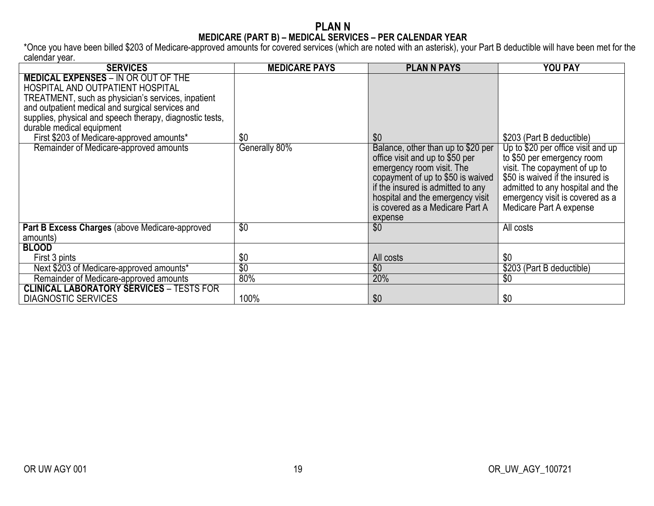#### **PLAN N MEDICARE (PART B) – MEDICAL SERVICES – PER CALENDAR YEAR**

\*Once you have been billed \$203 of Medicare-approved amounts for covered services (which are noted with an asterisk), your Part B deductible will have been met for the calendar year.

| <b>SERVICES</b>                                                                                                                                                                                                                                                                                                                                                          | <b>MEDICARE PAYS</b> | <b>PLAN N PAYS</b>                                                                                                                                                                                                                                                    | <b>YOU PAY</b>                                                                                                                                                                                                                                                       |
|--------------------------------------------------------------------------------------------------------------------------------------------------------------------------------------------------------------------------------------------------------------------------------------------------------------------------------------------------------------------------|----------------------|-----------------------------------------------------------------------------------------------------------------------------------------------------------------------------------------------------------------------------------------------------------------------|----------------------------------------------------------------------------------------------------------------------------------------------------------------------------------------------------------------------------------------------------------------------|
| <b>MEDICAL EXPENSES - IN OR OUT OF THE</b><br>HOSPITAL AND OUTPATIENT HOSPITAL<br>TREATMENT, such as physician's services, inpatient<br>and outpatient medical and surgical services and<br>supplies, physical and speech therapy, diagnostic tests,<br>durable medical equipment<br>First \$203 of Medicare-approved amounts*<br>Remainder of Medicare-approved amounts | \$0<br>Generally 80% | \$0<br>Balance, other than up to \$20 per<br>office visit and up to \$50 per<br>emergency room visit. The<br>copayment of up to \$50 is waived<br>if the insured is admitted to any<br>hospital and the emergency visit<br>is covered as a Medicare Part A<br>expense | \$203 (Part B deductible)<br>Up to \$20 per office visit and up<br>to \$50 per emergency room<br>visit. The copayment of up to<br>\$50 is waived if the insured is<br>admitted to any hospital and the<br>emergency visit is covered as a<br>Medicare Part A expense |
| Part B Excess Charges (above Medicare-approved<br>amounts)                                                                                                                                                                                                                                                                                                               | $\overline{30}$      | \$0                                                                                                                                                                                                                                                                   | All costs                                                                                                                                                                                                                                                            |
| <b>BLOOD</b>                                                                                                                                                                                                                                                                                                                                                             |                      |                                                                                                                                                                                                                                                                       |                                                                                                                                                                                                                                                                      |
| First 3 pints                                                                                                                                                                                                                                                                                                                                                            | \$0                  | All costs                                                                                                                                                                                                                                                             | \$0                                                                                                                                                                                                                                                                  |
| Next \$203 of Medicare-approved amounts*                                                                                                                                                                                                                                                                                                                                 | $\overline{50}$      | \$0                                                                                                                                                                                                                                                                   | \$203 (Part B deductible)                                                                                                                                                                                                                                            |
| Remainder of Medicare-approved amounts                                                                                                                                                                                                                                                                                                                                   | 80%                  | 20%                                                                                                                                                                                                                                                                   | \$0                                                                                                                                                                                                                                                                  |
| <b>CLINICAL LABORATORY SERVICES - TESTS FOR</b><br><b>DIAGNOSTIC SERVICES</b>                                                                                                                                                                                                                                                                                            | 100%                 | \$0                                                                                                                                                                                                                                                                   | \$0                                                                                                                                                                                                                                                                  |